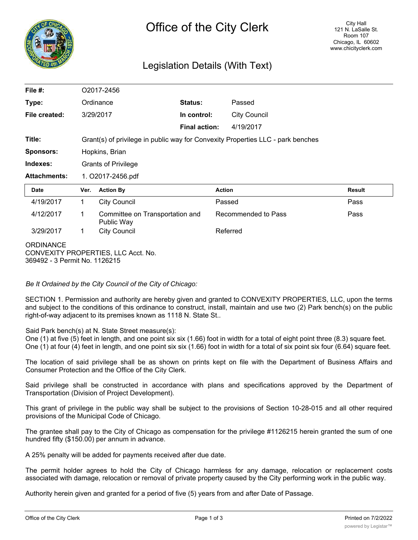

## Legislation Details (With Text)

| File #:                                                                                  | O2017-2456                                                                      |                                               |                      |                     |                     |        |
|------------------------------------------------------------------------------------------|---------------------------------------------------------------------------------|-----------------------------------------------|----------------------|---------------------|---------------------|--------|
| Type:                                                                                    | Ordinance                                                                       |                                               | <b>Status:</b>       |                     | Passed              |        |
| File created:                                                                            | 3/29/2017                                                                       |                                               | In control:          |                     | <b>City Council</b> |        |
|                                                                                          |                                                                                 |                                               | <b>Final action:</b> |                     | 4/19/2017           |        |
| Title:                                                                                   | Grant(s) of privilege in public way for Convexity Properties LLC - park benches |                                               |                      |                     |                     |        |
| <b>Sponsors:</b>                                                                         | Hopkins, Brian                                                                  |                                               |                      |                     |                     |        |
| Indexes:                                                                                 | <b>Grants of Privilege</b>                                                      |                                               |                      |                     |                     |        |
| <b>Attachments:</b>                                                                      | 1. O2017-2456.pdf                                                               |                                               |                      |                     |                     |        |
| <b>Date</b>                                                                              | Ver.                                                                            | <b>Action By</b>                              |                      | <b>Action</b>       |                     | Result |
| 4/19/2017                                                                                | $\mathbf 1$                                                                     | <b>City Council</b>                           |                      | Passed              |                     | Pass   |
| 4/12/2017                                                                                | 1                                                                               | Committee on Transportation and<br>Public Way |                      | Recommended to Pass |                     | Pass   |
| 3/29/2017                                                                                | $\mathbf 1$                                                                     | <b>City Council</b>                           |                      | Referred            |                     |        |
| <b>ORDINANCE</b><br>CONVEXITY PROPERTIES, LLC Acct. No.<br>369492 - 3 Permit No. 1126215 |                                                                                 |                                               |                      |                     |                     |        |

*Be It Ordained by the City Council of the City of Chicago:*

SECTION 1. Permission and authority are hereby given and granted to CONVEXITY PROPERTIES, LLC, upon the terms and subject to the conditions of this ordinance to construct, install, maintain and use two (2) Park bench(s) on the public right-of-way adjacent to its premises known as 1118 N. State St..

Said Park bench(s) at N. State Street measure(s):

One (1) at five (5) feet in length, and one point six six (1.66) foot in width for a total of eight point three (8.3) square feet. One (1) at four (4) feet in length, and one point six six (1.66) foot in width for a total of six point six four (6.64) square feet.

The location of said privilege shall be as shown on prints kept on file with the Department of Business Affairs and Consumer Protection and the Office of the City Clerk.

Said privilege shall be constructed in accordance with plans and specifications approved by the Department of Transportation (Division of Project Development).

This grant of privilege in the public way shall be subject to the provisions of Section 10-28-015 and all other required provisions of the Municipal Code of Chicago.

The grantee shall pay to the City of Chicago as compensation for the privilege #1126215 herein granted the sum of one hundred fifty (\$150.00) per annum in advance.

A 25% penalty will be added for payments received after due date.

The permit holder agrees to hold the City of Chicago harmless for any damage, relocation or replacement costs associated with damage, relocation or removal of private property caused by the City performing work in the public way.

Authority herein given and granted for a period of five (5) years from and after Date of Passage.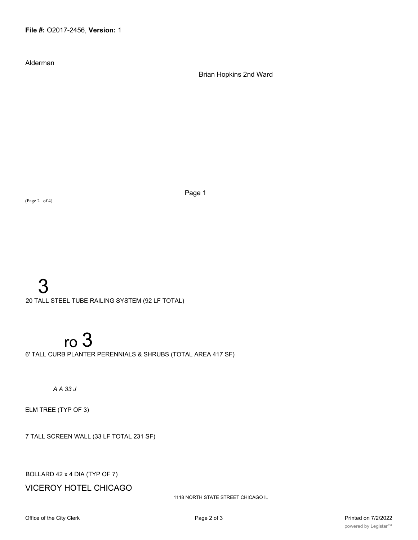Alderman

Brian Hopkins 2nd Ward

(Page 2 of 4)

Page 1

## 3

20 TALL STEEL TUBE RAILING SYSTEM (92 LF TOTAL)

# ro 3

6' TALL CURB PLANTER PERENNIALS & SHRUBS (TOTAL AREA 417 SF)

## *A A 33 J*

ELM TREE (TYP OF 3)

7 TALL SCREEN WALL (33 LF TOTAL 231 SF)

BOLLARD 42 x 4 DIA (TYP OF 7)

VICEROY HOTEL CHICAGO

1118 NORTH STATE STREET CHICAGO IL